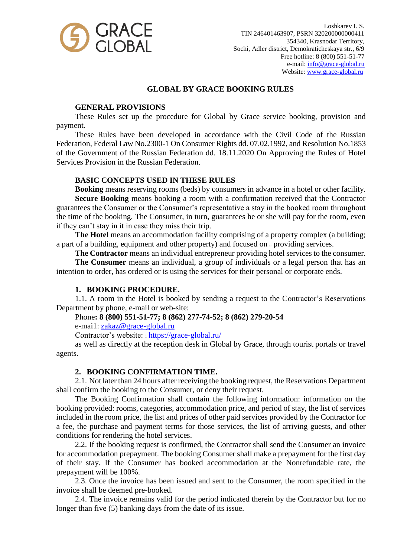

# **GLOBAL BY GRACE BOOKING RULES**

## **GENERAL PROVISIONS**

These Rules set up the procedure for Global by Grace service booking, provision and payment.

These Rules have been developed in accordance with the Civil Code of the Russian Federation, Federal Law No.2300-1 On Consumer Rights dd. 07.02.1992, and Resolution No.1853 of the Government of the Russian Federation dd. 18.11.2020 On Approving the Rules of Hotel Services Provision in the Russian Federation.

## **BASIC CONCEPTS USED IN THESE RULES**

**Booking** means reserving rooms (beds) by consumers in advance in a hotel or other facility. **Secure Booking** means booking a room with a confirmation received that the Contractor guarantees the Consumer or the Consumer's representative a stay in the booked room throughout the time of the booking. The Consumer, in turn, guarantees he or she will pay for the room, even if they can't stay in it in case they miss their trip.

**The Hotel** means an accommodation facility comprising of a property complex (a building; a part of a building, equipment and other property) and focused on  $\equiv$  providing services.

**The Contractor** means an individual entrepreneur providing hotel services to the consumer.

**The Consumer** means an individual, a group of individuals or a legal person that has an intention to order, has ordered or is using the services for their personal or corporate ends.

## **1. BOOKING PROCEDURE.**

1.1. A room in the Hotel is booked by sending a request to the Contractor's Reservations Department by phone, e-mail or web-site:

Phone**: 8 (800) 551-51-77; 8 (862) 277-74-52; 8 (862) 279-20-54**

e-mai1: [zakaz@grace-global.ru](mailto:zakaz@grace-global.ru)

Contractor's website: : <https://grace-global.ru/>

as well as directly at the reception desk in Global by Grace, through tourist portals or travel agents.

## **2. BOOKING CONFIRMATION TIME.**

2.1. Not later than 24 hours after receiving the booking request, the Reservations Department shall confirm the booking to the Consumer, or deny their request.

The Booking Confirmation shall contain the following information: information on the booking provided: rooms, categories, accommodation price, and period of stay, the list of services included in the room price, the list and prices of other paid services provided by the Contractor for a fee, the purchase and payment terms for those services, the list of arriving guests, and other conditions for rendering the hotel services.

2.2. If the booking request is confirmed, the Contractor shall send the Consumer an invoice for accommodation prepayment. The booking Consumer shall make a prepayment for the first day of their stay. If the Consumer has booked accommodation at the Nonrefundable rate, the prepayment will be 100%.

2.3. Once the invoice has been issued and sent to the Consumer, the room specified in the invoice shall be deemed pre-booked.

2.4. The invoice remains valid for the period indicated therein by the Contractor but for no longer than five (5) banking days from the date of its issue.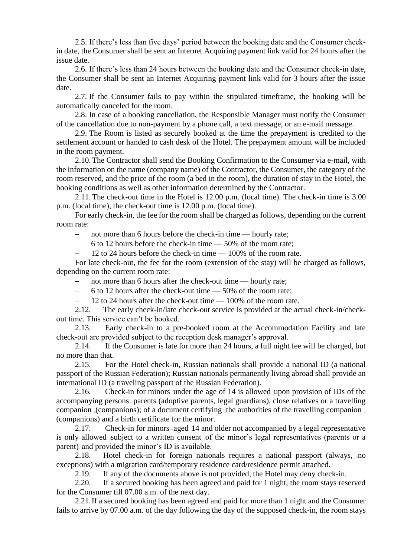2.5. If there's less than five days' period between the booking date and the Consumer checkin date, the Consumer shall be sent an Internet Acquiring payment link valid for 24 hours after the issue date.

2.6. If there's less than 24 hours between the booking date and the Consumer check-in date, the Consumer shall be sent an Internet Acquiring payment link valid for 3 hours after the issue date.

2.7. If the Consumer fails to pay within the stipulated timeframe, the booking will be automatically canceled for the room.

2.8. In case of a booking cancellation, the Responsible Manager must notify the Consumer of the cancellation due to non-payment by a phone call, a text message, or an e-mail message.

2.9. The Room is listed as securely booked at the time the prepayment is credited to the settlement account or handed to cash desk of the Hotel. The prepayment amount will be included in the room payment.

2.10.The Contractor shall send the Booking Confirmation to the Consumer via e-mail, with the information on the name (company name) of the Contractor, the Consumer, the category of the room reserved, and the price of the room (a bed in the room), the duration of stay in the Hotel, the booking conditions as well as other information determined by the Contractor.

2.11.The check-out time in the Hotel is 12.00 p.m. (local time). The check-in time is 3.00 p.m. (local time), the check-out time is 12.00 p.m. (local time).

For early check-in, the fee for the room shall be charged as follows, depending on the current room rate:

- not more than 6 hours before the check-in time — hourly rate;

6 to 12 hours before the check-in time — 50% of the room rate;

12 to 24 hours before the check-in time — 100% of the room rate.

For late check-out, the fee for the room (extension of the stay) will be charged as follows, depending on the current room rate:

not more than 6 hours after the check-out time — hourly rate;

6 to 12 hours after the check-out time — 50% of the room rate;

 $-$  12 to 24 hours after the check-out time  $-$  100% of the room rate.

2.12. The early check-in/late check-out service is provided at the actual check-in/checkout time. This service can't be booked.

2.13. Early check-in to a pre-booked room at the Accommodation Facility and late check-out are provided subject to the reception desk manager's approval.

2.14. If the Consumer is late for more than 24 hours, a full night fee will be charged, but no more than that.

2.15. For the Hotel check-in, Russian nationals shall provide a national ID (a national passport of the Russian Federation); Russian nationals permanently living abroad shall provide an international ID (a traveling passport of the Russian Federation).

2.16. Check-in for minors under the age of 14 is allowed upon provision of IDs of the accompanying persons: parents (adoptive parents, legal guardians), close relatives or a travelling companion (companions); of a document certifying the authorities of the travelling companion (companions) and a birth certificate for the minor.

2.17. Check-in for minors aged 14 and older not accompanied by a legal representative is only allowed subject to a written consent of the minor's legal representatives (parents or a parent) and provided the minor's ID is available.

2.18. Hotel check-in for foreign nationals requires a national passport (always, no exceptions) with a migration card/temporary residence card/residence permit attached.

2.19. If any of the documents above is not provided, the Hotel may deny check-in.

2.20. If a secured booking has been agreed and paid for 1 night, the room stays reserved for the Consumer till 07.00 a.m. of the next day.

2.21.If a secured booking has been agreed and paid for more than 1 night and the Consumer fails to arrive by 07.00 a.m. of the day following the day of the supposed check-in, the room stays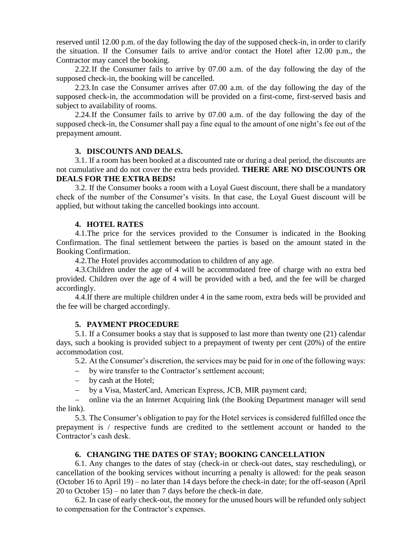reserved until 12.00 p.m. of the day following the day of the supposed check-in, in order to clarify the situation. If the Consumer fails to arrive and/or contact the Hotel after 12.00 p.m., the Contractor may cancel the booking.

2.22.If the Consumer fails to arrive by 07.00 a.m. of the day following the day of the supposed check-in, the booking will be cancelled.

2.23.In case the Consumer arrives after 07.00 a.m. of the day following the day of the supposed check-in, the accommodation will be provided on a first-come, first-served basis and subject to availability of rooms.

2.24.If the Consumer fails to arrive by 07.00 a.m. of the day following the day of the supposed check-in, the Consumer shall pay a fine equal to the amount of one night's fee out of the prepayment amount.

### **3. DISCOUNTS AND DEALS.**

3.1. If a room has been booked at a discounted rate or during a deal period, the discounts are not cumulative and do not cover the extra beds provided. **THERE ARE NO DISCOUNTS OR DEALS FOR THE EXTRA BEDS!**

3.2. If the Consumer books a room with a Loyal Guest discount, there shall be a mandatory check of the number of the Consumer's visits. In that case, the Loyal Guest discount will be applied, but without taking the cancelled bookings into account.

### **4. HOTEL RATES**

4.1.The price for the services provided to the Consumer is indicated in the Booking Confirmation. The final settlement between the parties is based on the amount stated in the Booking Confirmation.

4.2.The Hotel provides accommodation to children of any age.

4.3.Children under the age of 4 will be accommodated free of charge with no extra bed provided. Children over the age of 4 will be provided with a bed, and the fee will be charged accordingly.

4.4.If there are multiple children under 4 in the same room, extra beds will be provided and the fee will be charged accordingly.

#### **5. PAYMENT PROCEDURE**

5.1. If a Consumer books a stay that is supposed to last more than twenty one (21) calendar days, such a booking is provided subject to a prepayment of twenty per cent (20%) of the entire accommodation cost.

5.2. At the Consumer's discretion, the services may be paid for in one of the following ways:

- by wire transfer to the Contractor's settlement account;
- by cash at the Hotel;
- by a Visa, MasterCard, Аmerican Express, ЈСВ, MIR payment card;

 online via the an Internet Acquiring link (the Booking Department manager will send the link).

5.3. The Consumer's obligation to pay for the Hotel services is considered fulfilled once the prepayment is / respective funds are credited to the settlement account or handed to the Contractor's cash desk.

## **6. CHANGING THE DATES OF STAY; BOOKING CANCELLATION**

6.1. Any changes to the dates of stay (check-in or check-out dates, stay rescheduling), or cancellation of the booking services without incurring a penalty is allowed: for the peak season (October 16 to April 19) – no later than 14 days before the check-in date; for the off-season (April 20 to October 15) – no later than 7 days before the check-in date.

6.2. In case of early check-out, the money for the unused hours will be refunded only subject to compensation for the Contractor's expenses.